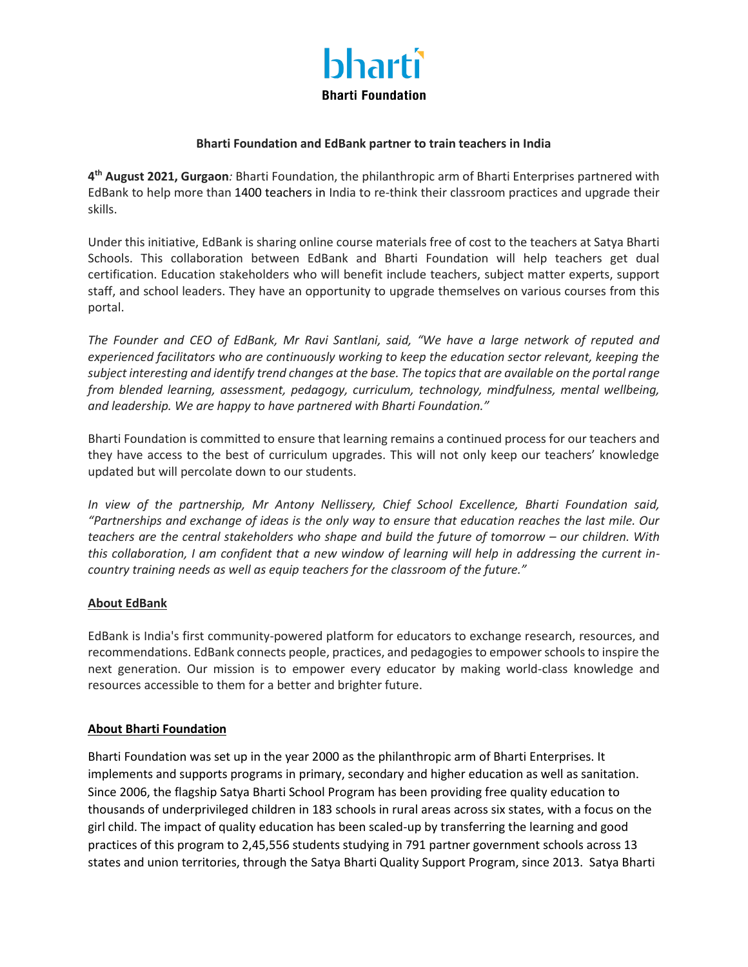

## **Bharti Foundation and EdBank partner to train teachers in India**

**4 th August 2021, Gurgaon***:* Bharti Foundation, the philanthropic arm of Bharti Enterprises partnered with EdBank to help more than 1400 teachers in India to re-think their classroom practices and upgrade their skills.

Under this initiative, EdBank is sharing online course materials free of cost to the teachers at Satya Bharti Schools. This collaboration between EdBank and Bharti Foundation will help teachers get dual certification. Education stakeholders who will benefit include teachers, subject matter experts, support staff, and school leaders. They have an opportunity to upgrade themselves on various courses from this portal.

*The Founder and CEO of EdBank, Mr Ravi Santlani, said, "We have a large network of reputed and experienced facilitators who are continuously working to keep the education sector relevant, keeping the subject interesting and identify trend changes at the base. The topics that are available on the portal range from blended learning, assessment, pedagogy, curriculum, technology, mindfulness, mental wellbeing, and leadership. We are happy to have partnered with Bharti Foundation."*

Bharti Foundation is committed to ensure that learning remains a continued process for our teachers and they have access to the best of curriculum upgrades. This will not only keep our teachers' knowledge updated but will percolate down to our students.

*In view of the partnership, Mr Antony Nellissery, Chief School Excellence, Bharti Foundation said, "Partnerships and exchange of ideas is the only way to ensure that education reaches the last mile. Our teachers are the central stakeholders who shape and build the future of tomorrow – our children. With this collaboration, I am confident that a new window of learning will help in addressing the current incountry training needs as well as equip teachers for the classroom of the future."*

## **About EdBank**

EdBank is India's first community-powered platform for educators to exchange research, resources, and recommendations. EdBank connects people, practices, and pedagogies to empower schools to inspire the next generation. Our mission is to empower every educator by making world-class knowledge and resources accessible to them for a better and brighter future.

## **About Bharti Foundation**

Bharti Foundation was set up in the year 2000 as the philanthropic arm of Bharti Enterprises. It implements and supports programs in primary, secondary and higher education as well as sanitation. Since 2006, the flagship Satya Bharti School Program has been providing free quality education to thousands of underprivileged children in 183 schools in rural areas across six states, with a focus on the girl child. The impact of quality education has been scaled-up by transferring the learning and good practices of this program to 2,45,556 students studying in 791 partner government schools across 13 states and union territories, through the Satya Bharti Quality Support Program, since 2013. Satya Bharti